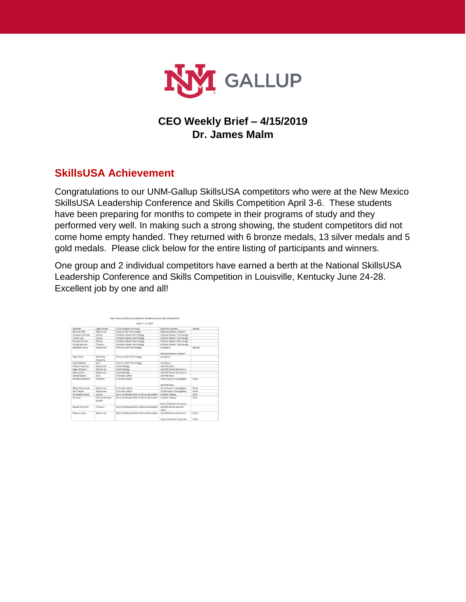

# **CEO Weekly Brief – 4/15/2019 Dr. James Malm**

# **SkillsUSA Achievement**

Congratulations to our UNM-Gallup SkillsUSA competitors who were at the New Mexico SkillsUSA Leadership Conference and Skills Competition April 3-6. These students have been preparing for months to compete in their programs of study and they performed very well. In making such a strong showing, the student competitors did not come home empty handed. They returned with 6 bronze medals, 13 silver medals and 5 gold medals. Please click below for the entire listing of participants and winners.

One group and 2 individual competitors have earned a berth at the National SkillsUSA Leadership Conference and Skills Competition in Louisville, Kentucky June 24-28. Excellent job by one and all!

|                       |                            | April 3 - 6, 2019                        |                                                                 |                  |
|-----------------------|----------------------------|------------------------------------------|-----------------------------------------------------------------|------------------|
| Member                | High School                | CCTE Program of Study                    | SkillsUSA Contest                                               | Medal            |
| Ramona Billy          | Miyamura                   | Automotive Technology                    | Extemporaneous Speech                                           |                  |
| Camaron Benally       | Gallup                     | Collision Repair Technology              | Collision Regair Technology                                     |                  |
| Tristen Lee           | Gallup                     | <b>Collision Repair Technology</b>       | <b>Collision Repair Technology</b>                              |                  |
| Damien Shirley        | Gallup                     | Collision Repair Technology              | Collision Repair Technology                                     |                  |
| <b>Erving Spencer</b> | Thoreau                    | Collision Repair Technology              | Collision Repair Technology                                     |                  |
| Sebastian Davis       | Miyamura                   | Construction Technology                  | Carpentry<br>Extemporaneous Speech                              | Bronze           |
| Tyler Haws            | McKinley<br>Academy        | Construction Technology                  | Carpentry                                                       |                  |
| Kylie Tsikewa         | Zuni                       | Construction Technology                  | Carpentry                                                       |                  |
| Nicole Francisco      | Mivamura                   | Cosmetology                              | <b>Job Interview</b>                                            |                  |
| Sage Jameson          | Miyamura                   | Cosmetology                              | Job Skill Demonstration A                                       |                  |
| Keely Johns           | Mivamura                   | Cosmetology                              | <b>Joh Skill Demonstration A</b>                                |                  |
| Daniel Espino         | Zuni                       | Criminal Justice                         | Job Interview                                                   |                  |
| Alicetina Hosteen     | Tohatchi                   | Criminal Justice                         | Crime Scene Investigation<br><b><i><u>Inh Interview</u></i></b> | Silver           |
| Alexis Monaroue       | Mivamura                   | Criminal Justice                         | Crime Scene Investigation                                       | Silver           |
| Kalii Padilla         | Miyamura                   | Criminal Justice                         | Crime Scene Investigation                                       | Silver           |
| Annabelle Butler      | Gallup                     | Early Childhood Multi-Cultural Education | Chapter Display                                                 | Gold             |
| Kia Kaye              | Gallup Christian<br>School | Early Childhood Multi-Cultural Education | Chapter Display<br>Early Childhood Education                    | Gold             |
| Mariah Kenneth        | Thoreau                    | Early Childhood Multi-Cultural Education | <b>Joh Skill Demonstration</b><br>Open                          |                  |
| Odessa Lewis          | Miyamura                   | Early Childhood Multi-Cultural Education | Job Skill Demonstration A<br>Early Childhood Education          | Silver<br>Silver |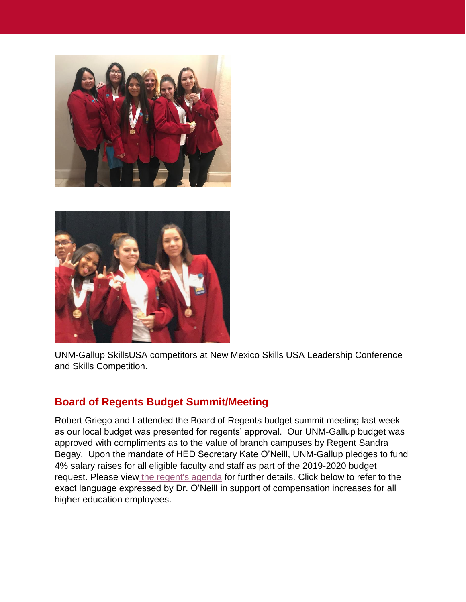



UNM-Gallup SkillsUSA competitors at New Mexico Skills USA Leadership Conference and Skills Competition.

### **Board of Regents Budget Summit/Meeting**

Robert Griego and I attended the Board of Regents budget summit meeting last week as our local budget was presented for regents' approval. Our UNM-Gallup budget was approved with compliments as to the value of branch campuses by Regent Sandra Begay. Upon the mandate of HED Secretary Kate O'Neill, UNM-Gallup pledges to fund 4% salary raises for all eligible faculty and staff as part of the 2019-2020 budget request. Please view [the regent's agenda](http://regents.unm.edu/meetings/agendas/2019/bor-agenda-2019-03-09.pdf) for further details. Click below to refer to the exact language expressed by Dr. O'Neill in support of compensation increases for all higher education employees.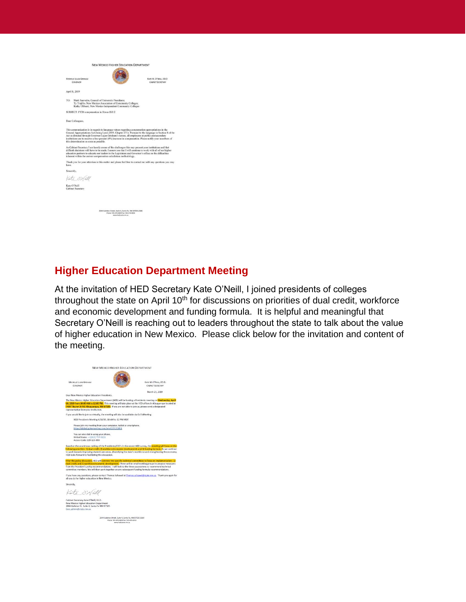|       |                                                                                                                                                                                                                                               | <b>NEW MEXICO HIGHER EDUCATION DEPARTMENT</b>                                                                            |                                                                                                                                                                                                                    |
|-------|-----------------------------------------------------------------------------------------------------------------------------------------------------------------------------------------------------------------------------------------------|--------------------------------------------------------------------------------------------------------------------------|--------------------------------------------------------------------------------------------------------------------------------------------------------------------------------------------------------------------|
|       | MICHELLE LUJAN GRISHAM<br>GOVERNOR                                                                                                                                                                                                            |                                                                                                                          | KATE M. O'NEILL, ED.D.<br><b>CABINET SECRETARY</b>                                                                                                                                                                 |
|       | April 8, 2019                                                                                                                                                                                                                                 |                                                                                                                          |                                                                                                                                                                                                                    |
| TO:   | Mark Saavedra, Council of University Presidents;                                                                                                                                                                                              | Tv Trujillo, New Mexico Association of Community Colleges;<br>Kathy Ulibarri, New Mexico Independent Community Colleges  |                                                                                                                                                                                                                    |
|       | SUBJECT: FY20 compensation in House Bill 2                                                                                                                                                                                                    |                                                                                                                          |                                                                                                                                                                                                                    |
|       | Dear Colleagues,                                                                                                                                                                                                                              |                                                                                                                          |                                                                                                                                                                                                                    |
|       | This communication is in regards to language vetoes regarding compensation appropriations in the<br>Act as directed through Governor Lujan Grisham's vetoes, all employees at public postsecondary<br>this determination as soon as possible. |                                                                                                                          | General Appropriations Act (being Laws 2019, Chapter 271). Pursuant to the Ianguage in Section 8 of the<br>institutions are to receive a four percent (4%) increase in compensation. Please notify your members of |
|       | education partners to educate our leaders in the Legislature and Governor's office on the difficulties<br>inherent within the current compensation calculation methodology.                                                                   |                                                                                                                          | As Cabinet Secretary I am keenly aware of the challenges this may present your institutions and that<br>difficult decisions will have to be made. I assure you that I will continue to work with all of our higher |
| have. |                                                                                                                                                                                                                                               |                                                                                                                          | Thank you for your attention in this matter and please feel free to contact me with any questions you may                                                                                                          |
|       | Sincerely,                                                                                                                                                                                                                                    |                                                                                                                          |                                                                                                                                                                                                                    |
|       | Kate Onläll                                                                                                                                                                                                                                   |                                                                                                                          |                                                                                                                                                                                                                    |
|       | Kate O'Neill<br><b>Cabinet Secretary</b>                                                                                                                                                                                                      |                                                                                                                          |                                                                                                                                                                                                                    |
|       |                                                                                                                                                                                                                                               |                                                                                                                          |                                                                                                                                                                                                                    |
|       |                                                                                                                                                                                                                                               | 2044 Galisteo Street, Suite 4, Santa Fe, NM 87505-2100<br>Phone: 505-476-8400 Fax: 505-476-8454<br>www.hed.state.nec.org |                                                                                                                                                                                                                    |
|       |                                                                                                                                                                                                                                               |                                                                                                                          |                                                                                                                                                                                                                    |

## **Higher Education Department Meeting**

At the invitation of HED Secretary Kate O'Neill, I joined presidents of colleges throughout the state on April 10<sup>th</sup> for discussions on priorities of dual credit, workforce and economic development and funding formula. It is helpful and meaningful that Secretary O'Neill is reaching out to leaders throughout the state to talk about the value of higher education in New Mexico. Please click below for the invitation and content of the meeting.

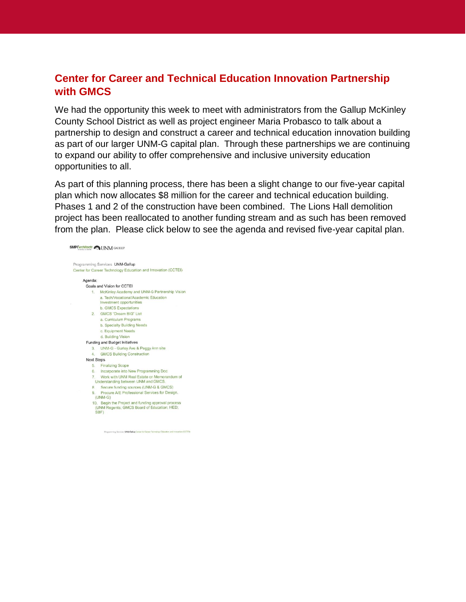#### **Center for Career and Technical Education Innovation Partnership with GMCS**

We had the opportunity this week to meet with administrators from the Gallup McKinley County School District as well as project engineer Maria Probasco to talk about a partnership to design and construct a career and technical education innovation building as part of our larger UNM-G capital plan. Through these partnerships we are continuing to expand our ability to offer comprehensive and inclusive university education opportunities to all.

As part of this planning process, there has been a slight change to our five-year capital plan which now allocates \$8 million for the career and technical education building. Phases 1 and 2 of the construction have been combined. The Lions Hall demolition project has been reallocated to another funding stream and as such has been removed from the plan. Please click below to see the agenda and revised five-year capital plan.

```
SMPC rchitects CONN GALLUP
Programming Services UNM-Gallup
Center for Career Technology Education and Innovation (CCTEI)
     Agenda<sup>-</sup>
       Goals and Vision for CCTEI
          1. McKinley Academy and UNM-G Partnership Vision
                a. Tech/Vocational/Academic Education
                Investment opportunities
               b. GMCS Expectations
         2. GMCS "Dream BIG" List
               a. Curriculum Programs
                b. Specialty Building Needs
                c. Equipment Needs
               d. Building Vision
       Funding and Budget Initiatives
         3. UNM-G - Gurley Ave & Peggy Ann site<br>4. GMCS Building Construction
        Next Steps
           5. Finalizing Scope
           6. Incorporate into New Programming Doc
                Work with UNM Real Estate on Memorandum of
             Understanding between UNM and GMCS.
           8. Secure funding sources (UNM-G & GMCS)
                Procure A/E Professional Services for Design.
           9.
             (UNM-G)10. Begin the Project and funding approval process<br>(UNM Regents; GMCS Board of Education; HED;
             SBF)
```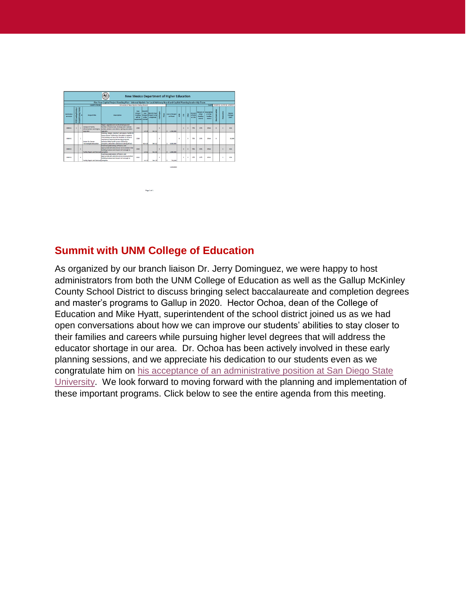

#### **Summit with UNM College of Education**

As organized by our branch liaison Dr. Jerry Dominguez, we were happy to host administrators from both the UNM College of Education as well as the Gallup McKinley County School District to discuss bringing select baccalaureate and completion degrees and master's programs to Gallup in 2020. Hector Ochoa, dean of the College of Education and Mike Hyatt, superintendent of the school district joined us as we had open conversations about how we can improve our students' abilities to stay closer to their families and careers while pursuing higher level degrees that will address the educator shortage in our area. Dr. Ochoa has been actively involved in these early planning sessions, and we appreciate his dedication to our students even as we congratulate him on [his acceptance of an administrative position at San Diego State](http://thedailyaztec.com/94143/news/university-selects-salvador-hector-ochoa-to-become-the-next-provost/)  [University.](http://thedailyaztec.com/94143/news/university-selects-salvador-hector-ochoa-to-become-the-next-provost/) We look forward to moving forward with the planning and implementation of these important programs. Click below to see the entire agenda from this meeting.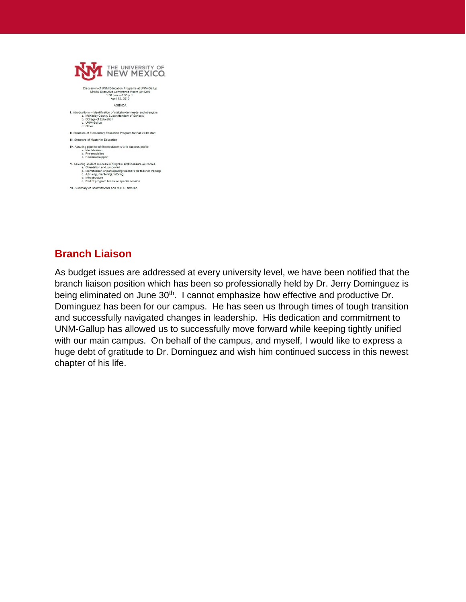| THE UNIVERSITY OF                                                                                                                                                                                                                                                          |
|----------------------------------------------------------------------------------------------------------------------------------------------------------------------------------------------------------------------------------------------------------------------------|
| Discussion of UNM Education Programs at UNM-Gallup<br>UNMG Executive Conference Room GH1216<br>1:00 p.m. - 3:30 p.m.<br>April 12, 2019                                                                                                                                     |
| <b>AGENDA</b>                                                                                                                                                                                                                                                              |
| I. Introductions -- identification of stakeholder needs and strengths<br>a. McKinley County Superintendent of Schools<br>b. College of Education<br>c. UNM-Gallup<br>d. Other                                                                                              |
| II. Structure of Elementary Education Program for Fall 2019 start                                                                                                                                                                                                          |
| III. Structure of Master in Education                                                                                                                                                                                                                                      |
| IV. Assuring pipeline of fifteen students with success profile<br>a. Identification<br>b. Pre-requisites<br>c. Financial support                                                                                                                                           |
| V. Assuring student success in program and licensure outcomes<br>a. Orientation and jump-start<br>b. Identification of participating teachers for teacher training<br>c. Advising, mentoring, tutoring<br>d. Infrastructure<br>e. End of program licensure special session |
| VI. Summary of Commitments and M.O.U. timeline                                                                                                                                                                                                                             |

## **Branch Liaison**

As budget issues are addressed at every university level, we have been notified that the branch liaison position which has been so professionally held by Dr. Jerry Dominguez is being eliminated on June 30<sup>th</sup>. I cannot emphasize how effective and productive Dr. Dominguez has been for our campus. He has seen us through times of tough transition and successfully navigated changes in leadership. His dedication and commitment to UNM-Gallup has allowed us to successfully move forward while keeping tightly unified with our main campus. On behalf of the campus, and myself, I would like to express a huge debt of gratitude to Dr. Dominguez and wish him continued success in this newest chapter of his life.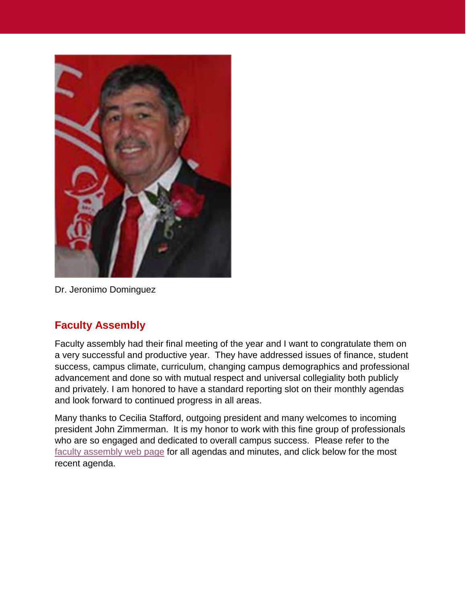

Dr. Jeronimo Dominguez

# **Faculty Assembly**

Faculty assembly had their final meeting of the year and I want to congratulate them on a very successful and productive year. They have addressed issues of finance, student success, campus climate, curriculum, changing campus demographics and professional advancement and done so with mutual respect and universal collegiality both publicly and privately. I am honored to have a standard reporting slot on their monthly agendas and look forward to continued progress in all areas.

Many thanks to Cecilia Stafford, outgoing president and many welcomes to incoming president John Zimmerman. It is my honor to work with this fine group of professionals who are so engaged and dedicated to overall campus success. Please refer to the [faculty assembly web](https://www.gallup.unm.edu/fa/agendas.php) page for all agendas and minutes, and click below for the most recent agenda.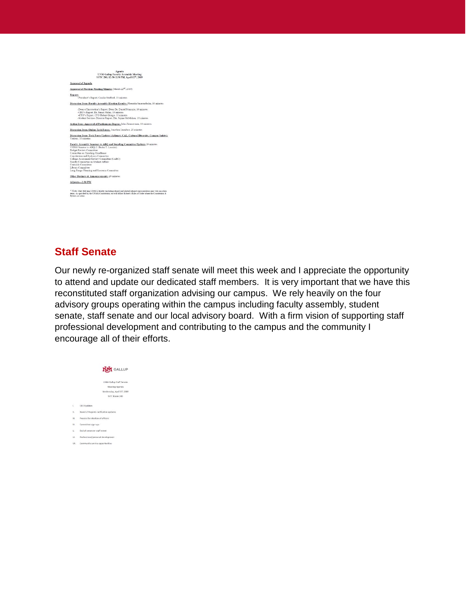| Agenda<br><b>UNM-Gallup Faculty Assembly Meeting</b><br>SSTC 200, 12:30-2:30 PM, April 12th, 2019                                                                                                                                                                                                                                                                                                                                                                  |  |
|--------------------------------------------------------------------------------------------------------------------------------------------------------------------------------------------------------------------------------------------------------------------------------------------------------------------------------------------------------------------------------------------------------------------------------------------------------------------|--|
| Approval of Agenda                                                                                                                                                                                                                                                                                                                                                                                                                                                 |  |
| Approval of Previous Meeting Minutes (March 22 <sup>nd</sup> , 2019).                                                                                                                                                                                                                                                                                                                                                                                              |  |
| <b>Reports</b><br>-President's Report, Cecilia Stafford, 10 minutes                                                                                                                                                                                                                                                                                                                                                                                                |  |
| Discussion Item: Faculty Assembly Election Results: Florentin Smarandache, 10 minutes                                                                                                                                                                                                                                                                                                                                                                              |  |
| -Dean of Instruction's Report, Dean Dr. Daniel Primozic. 10 minutes<br>-CEO's Report, Dr. James Mahn, 10 minutes<br>-CFO's Report, CFO Robert Griego, 10 minutes<br>-Student Services Director Report, Dir. Jayme McMahon, 10 minutes                                                                                                                                                                                                                              |  |
| Action Item: Approval of Posthumous Degree: John Zimmerman, 10 minutes                                                                                                                                                                                                                                                                                                                                                                                             |  |
| Discussion Item: Online Task Force: Jonathan Lumibao, 20 minutes                                                                                                                                                                                                                                                                                                                                                                                                   |  |
| Discussion Item: Task Force Updates (Adjunct, CAL, Cultural Diversity, Campus Safety);<br>Various, 10 minutes                                                                                                                                                                                                                                                                                                                                                      |  |
| Faculty Assembly Senators to ABQ and Standing Committee Updates 20 minutes<br>UNMG Senator to ABO (J. Burke T. Lassiter)<br><b>Budget Review Committee</b><br>Committee on Teaching Excellence<br>Constitution and By-Laws Committee<br>College Assessment Review Committee (CARC)<br>Faculty Committee on Student Affairs<br>Curricula Committee<br>Library Committee<br>Long Range Planning and Resource Committee<br>Other Business & Announcements: 20 minutes |  |
| Adjourn-2:30 PM                                                                                                                                                                                                                                                                                                                                                                                                                                                    |  |
| <sup>9</sup> Note: Only full-time UNM-G faculty (including chairs) and elected adjunct representatives may vote on action<br>items. As specified by the UNMG Constitution, we will follow Robert's Rules of Order where the Constitution &<br>Bylaws are silent.                                                                                                                                                                                                   |  |

#### **Staff Senate**

Our newly re-organized staff senate will meet this week and I appreciate the opportunity to attend and update our dedicated staff members. It is very important that we have this reconstituted staff organization advising our campus. We rely heavily on the four advisory groups operating within the campus including faculty assembly, student senate, staff senate and our local advisory board. With a firm vision of supporting staff professional development and contributing to the campus and the community I encourage all of their efforts.

|      | NΝ<br><b>I</b> GALLUP                 |
|------|---------------------------------------|
|      | UNM-Gallup Staff Senate               |
|      | Meeting Agenda                        |
|      | Wednesday, April 17, 2019             |
|      | SSTC Room 200                         |
| Ù    | <b>CEO Updates</b>                    |
| H.   | Board of Regents ratification updates |
| ш.   | Process for election of officers      |
| W.   | Committee sign-ups                    |
| V.   | End of semester staff event           |
| VL.  | Professional/personal development     |
| VII. | Community service opportunities       |